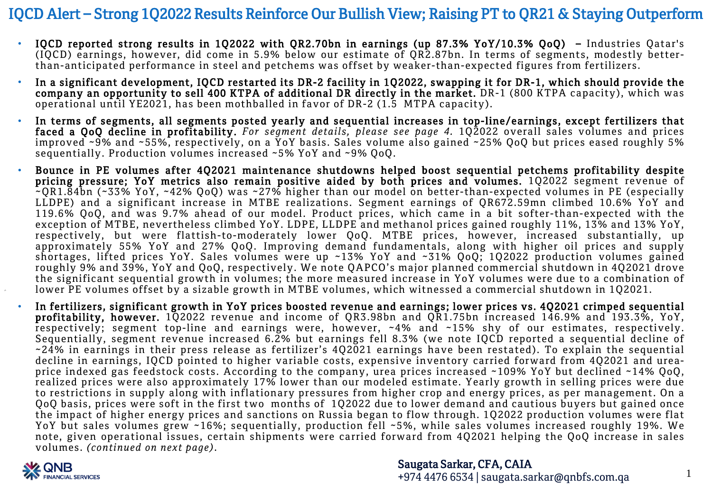- IQCD reported strong results in 1Q2022 with QR2.70bn in earnings (up 87.3% YoY/10.3% QoQ) Industries Qatar's (IQCD) earnings, however, did come in 5.9% below our estimate of QR2.87bn. In terms of segments, modestly betterthan-anticipated performance in steel and petchems was offset by weaker-than-expected figures from fertilizers.
- In a significant development, IQCD restarted its DR-2 facility in 1Q2022, swapping it for DR-1, which should provide the company an opportunity to sell 400 KTPA of additional DR directly in the market. DR-1 (800 KTPA capacity), which was operational until YE2021, has been mothballed in favor of DR-2 (1.5 MTPA capacity).
- In terms of segments, all segments posted yearly and sequential increases in top-line/earnings, except fertilizers that faced a QoQ decline in profitability. *For segment details, please see page 4.* 1Q2022 overall sales volumes and prices improved ~9% and ~55%, respectively, on a YoY basis. Sales volume also gained ~25% QoQ but prices eased roughly 5% sequentially. Production volumes increased ~5% YoY and ~9% QoQ.
- Bounce in PE volumes after 4Q2021 maintenance shutdowns helped boost sequential petchems profitability despite pricing pressure; YoY metrics also remain positive aided by both prices and volumes. 1Q2022 segment revenue of ~QR1.84bn (~33% YoY, ~42% QoQ) was ~27% higher than our model on better-than-expected volumes in PE (especially LLDPE) and a significant increase in MTBE realizations. Segment earnings of QR672.59mn climbed 10.6% YoY and 119.6% QoQ, and was 9.7% ahead of our model. Product prices, which came in a bit softer-than-expected with the exception of MTBE, nevertheless climbed YoY. LDPE, LLDPE and methanol prices gained roughly 11%, 13% and 13% YoY, respectively, but were flattish-to-moderately lower QoQ. MTBE prices, however, increased substantially, up approximately 55% YoY and 27% QoQ. Improving demand fundamentals, along with higher oil prices and supply shortages, lifted prices YoY. Sales volumes were up ~13% YoY and ~31% QoQ; 1Q2022 production volumes gained roughly 9% and 39%, YoY and QoQ, respectively. We note QAPCO's major planned commercial shutdown in 4Q2021 drove the significant sequential growth in volumes; the more measured increase in YoY volumes were due to a combination of lower PE volumes offset by a sizable growth in MTBE volumes, which witnessed a commercial shutdown in 1Q2021.
- In fertilizers, significant growth in YoY prices boosted revenue and earnings; lower prices vs. 4Q2021 crimped sequential profitability, however. 1Q2022 revenue and income of QR3.98bn and QR1.75bn increased 146.9% and 193.3%, YoY, respectively; segment top-line and earnings were, however, ~4% and ~15% shy of our estimates, respectively. Sequentially, segment revenue increased 6.2% but earnings fell 8.3% (we note IQCD reported a sequential decline of ~24% in earnings in their press release as fertilizer's 4Q2021 earnings have been restated). To explain the sequential decline in earnings, IQCD pointed to higher variable costs, expensive inventory carried forward from 4Q2021 and ureaprice indexed gas feedstock costs. According to the company, urea prices increased ~109% YoY but declined ~14% QoQ, realized prices were also approximately 17% lower than our modeled estimate. Yearly growth in selling prices were due to restrictions in supply along with inflationary pressures from higher crop and energy prices, as per management. On a QoQ basis, prices were soft in the first two months of 1Q2022 due to lower demand and cautious buyers but gained once the impact of higher energy prices and sanctions on Russia began to flow through. 1Q2022 production volumes were flat YoY but sales volumes grew ~16%; sequentially, production fell ~5%, while sales volumes increased roughly 19%. We note, given operational issues, certain shipments were carried forward from 4Q2021 helping the QoQ increase in sales volumes. *(continued on next page)*.



Saugata Sarkar, CFA, CAIA +974 4476 6534 | saugata.sarkar@qnbfs.com.qa

1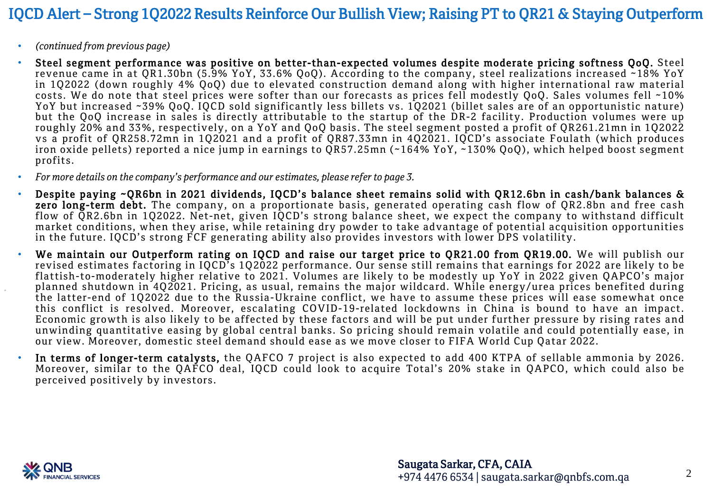- *(continued from previous page)*
- Steel segment performance was positive on better-than-expected volumes despite moderate pricing softness QoQ. Steel revenue came in at QR1.30bn (5.9% YoY, 33.6% QoQ). According to the company, steel realizations increased ~18% YoY in 1Q2022 (down roughly 4% QoQ) due to elevated construction demand along with higher international raw material costs. We do note that steel prices were softer than our forecasts as prices fell modestly QoQ. Sales volumes fell ~10% YoY but increased ~39% QoQ. IQCD sold significantly less billets vs. 1Q2021 (billet sales are of an opportunistic nature) but the QoQ increase in sales is directly attributable to the startup of the DR-2 facility. Production volumes were up roughly 20% and 33%, respectively, on a YoY and QoQ basis. The steel segment posted a profit of QR261.21mn in 1Q2022 vs a profit of QR258.72mn in 1Q2021 and a profit of QR87.33mn in 4Q2021. IQCD's associate Foulath (which produces iron oxide pellets) reported a nice jump in earnings to QR57.25mn (~164% YoY, ~130% QoQ), which helped boost segment profits.
- *For more details on the company's performance and our estimates, please referto page 3.*
- Despite paying ~QR6bn in 2021 dividends, IQCD's balance sheet remains solid with QR12.6bn in cash/bank balances & zero long-term debt. The company, on a proportionate basis, generated operating cash flow of QR2.8bn and free cash flow of OR2.6bn in 102022. Net-net, given IOCD's strong balance sheet, we expect the company to withstand difficult market conditions, when they arise, while retaining dry powder to take advantage of potential acquisition opportunities in the future. IQCD's strong FCF generating ability also provides investors with lower DPS volatility.
- We maintain our Outperform rating on IQCD and raise our target price to QR21.00 from QR19.00. We will publish our revised estimates factoring in IQCD's 1Q2022 performance. Our sense still remains that earnings for 2022 are likely to be flattish-to-moderately higher relative to 2021. Volumes are likely to be modestly up YoY in 2022 given QAPCO's major planned shutdown in 4Q2021. Pricing, as usual, remains the major wildcard. While energy/urea prices benefited during the latter-end of 1Q2022 due to the Russia-Ukraine conflict, we have to assume these prices will ease somewhat once this conflict is resolved. Moreover, escalating COVID-19-related lockdowns in China is bound to have an impact. Economic growth is also likely to be affected by these factors and will be put under further pressure by rising rates and unwinding quantitative easing by global central banks. So pricing should remain volatile and could potentially ease, in our view. Moreover, domestic steel demand should ease as we move closer to FIFA World Cup Qatar 2022.
- In terms of longer-term catalysts, the QAFCO 7 project is also expected to add 400 KTPA of sellable ammonia by 2026. Moreover, similar to the QAFCO deal, IQCD could look to acquire Total's 20% stake in QAPCO, which could also be perceived positively by investors.

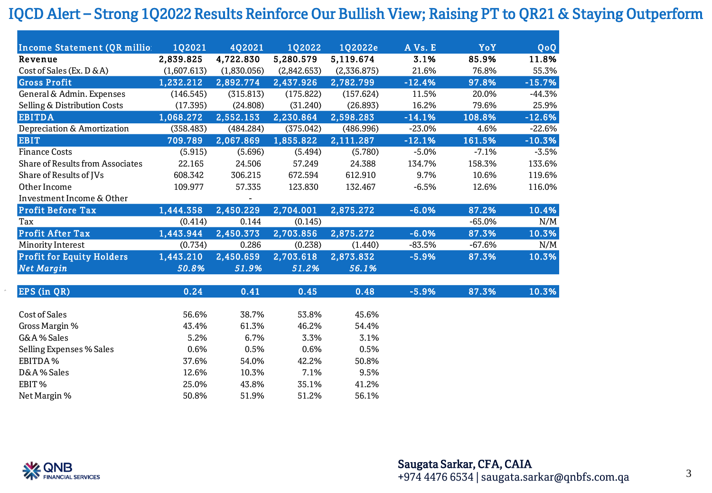| Income Statement (QR millio:            | 102021      | 402021      | <b>1Q2022</b> | 102022e     | AVs. E   | YoY      | QoQ      |
|-----------------------------------------|-------------|-------------|---------------|-------------|----------|----------|----------|
| Revenue                                 | 2,839.825   | 4,722.830   | 5,280.579     | 5,119.674   | 3.1%     | 85.9%    | 11.8%    |
| Cost of Sales (Ex. D & A)               | (1,607.613) | (1,830.056) | (2,842.653)   | (2,336.875) | 21.6%    | 76.8%    | 55.3%    |
| <b>Gross Profit</b>                     | 1,232.212   | 2,892.774   | 2,437.926     | 2,782.799   | $-12.4%$ | 97.8%    | $-15.7%$ |
| General & Admin. Expenses               | (146.545)   | (315.813)   | (175.822)     | (157.624)   | 11.5%    | 20.0%    | $-44.3%$ |
| Selling & Distribution Costs            | (17.395)    | (24.808)    | (31.240)      | (26.893)    | 16.2%    | 79.6%    | 25.9%    |
| <b>EBITDA</b>                           | 1,068.272   | 2,552.153   | 2,230.864     | 2,598.283   | $-14.1%$ | 108.8%   | $-12.6%$ |
| Depreciation & Amortization             | (358.483)   | (484.284)   | (375.042)     | (486.996)   | $-23.0%$ | 4.6%     | $-22.6%$ |
| <b>EBIT</b>                             | 709.789     | 2,067.869   | 1,855.822     | 2,111.287   | $-12.1%$ | 161.5%   | $-10.3%$ |
| <b>Finance Costs</b>                    | (5.915)     | (5.696)     | (5.494)       | (5.780)     | $-5.0%$  | $-7.1%$  | $-3.5%$  |
| <b>Share of Results from Associates</b> | 22.165      | 24.506      | 57.249        | 24.388      | 134.7%   | 158.3%   | 133.6%   |
| Share of Results of JVs                 | 608.342     | 306.215     | 672.594       | 612.910     | 9.7%     | 10.6%    | 119.6%   |
| Other Income                            | 109.977     | 57.335      | 123.830       | 132.467     | $-6.5%$  | 12.6%    | 116.0%   |
| Investment Income & Other               |             |             |               |             |          |          |          |
| <b>Profit Before Tax</b>                | 1,444.358   | 2,450.229   | 2,704.001     | 2,875.272   | $-6.0%$  | 87.2%    | 10.4%    |
| Tax                                     | (0.414)     | 0.144       | (0.145)       |             |          | $-65.0%$ | N/M      |
| <b>Profit After Tax</b>                 | 1,443.944   | 2,450.373   | 2,703.856     | 2,875.272   | $-6.0%$  | 87.3%    | 10.3%    |
| Minority Interest                       | (0.734)     | 0.286       | (0.238)       | (1.440)     | $-83.5%$ | $-67.6%$ | N/M      |
| <b>Profit for Equity Holders</b>        | 1,443.210   | 2,450.659   | 2,703.618     | 2,873.832   | $-5.9%$  | 87.3%    | 10.3%    |
| <b>Net Margin</b>                       | 50.8%       | 51.9%       | 51.2%         | 56.1%       |          |          |          |
|                                         |             |             |               |             |          |          |          |
| EPS (in QR)                             | 0.24        | 0.41        | 0.45          | 0.48        | $-5.9%$  | 87.3%    | 10.3%    |
|                                         |             |             |               |             |          |          |          |
| <b>Cost of Sales</b>                    | 56.6%       | 38.7%       | 53.8%         | 45.6%       |          |          |          |
| Gross Margin %                          | 43.4%       | 61.3%       | 46.2%         | 54.4%       |          |          |          |
| G&A% Sales                              | 5.2%        | 6.7%        | 3.3%          | 3.1%        |          |          |          |
| Selling Expenses % Sales                | 0.6%        | 0.5%        | 0.6%          | 0.5%        |          |          |          |
| EBITDA%                                 | 37.6%       | 54.0%       | 42.2%         | 50.8%       |          |          |          |
| D&A% Sales                              | 12.6%       | 10.3%       | 7.1%          | 9.5%        |          |          |          |
| EBIT%                                   | 25.0%       | 43.8%       | 35.1%         | 41.2%       |          |          |          |
| Net Margin %                            | 50.8%       | 51.9%       | 51.2%         | 56.1%       |          |          |          |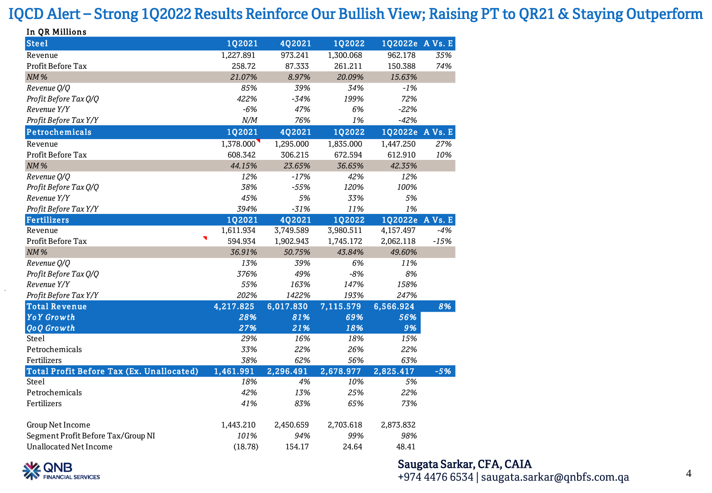| In QR Millions                            |           |               |               |                 |        |
|-------------------------------------------|-----------|---------------|---------------|-----------------|--------|
| <b>Steel</b>                              | 1Q2021    | 4Q2021        | 1Q2022        | 1Q2022e A Vs. E |        |
| Revenue                                   | 1,227.891 | 973.241       | 1,300.068     | 962.178         | 35%    |
| <b>Profit Before Tax</b>                  | 258.72    | 87.333        | 261.211       | 150.388         | 74%    |
| <b>NM%</b>                                | 21.07%    | 8.97%         | 20.09%        | 15.63%          |        |
| Revenue Q/Q                               | 85%       | 39%           | 34%           | $-1%$           |        |
| Profit Before Tax Q/Q                     | 422%      | $-34%$        | 199%          | 72%             |        |
| Revenue Y/Y                               | $-6%$     | 47%           | 6%            | $-22%$          |        |
| Profit Before Tax Y/Y                     | N/M       | 76%           | 1%            | $-42%$          |        |
| Petrochemicals                            | 1Q2021    | <b>4Q2021</b> | <b>1Q2022</b> | 1Q2022e A Vs. E |        |
| Revenue                                   | 1,378.000 | 1,295.000     | 1,835.000     | 1,447.250       | 27%    |
| <b>Profit Before Tax</b>                  | 608.342   | 306.215       | 672.594       | 612.910         | 10%    |
| <b>NM%</b>                                | 44.15%    | 23.65%        | 36.65%        | 42.35%          |        |
| Revenue Q/Q                               | 12%       | $-17%$        | 42%           | 12%             |        |
| Profit Before Tax Q/Q                     | 38%       | $-55%$        | 120%          | 100%            |        |
| Revenue Y/Y                               | 45%       | 5%            | 33%           | 5%              |        |
| Profit Before Tax Y/Y                     | 394%      | $-31%$        | 11%           | 1%              |        |
| <b>Fertilizers</b>                        | 1Q2021    | 4Q2021        | 1Q2022        | 1Q2022e A Vs. E |        |
| Revenue                                   | 1,611.934 | 3,749.589     | 3,980.511     | 4,157.497       | $-4%$  |
| ٦<br>Profit Before Tax                    | 594.934   | 1,902.943     | 1,745.172     | 2,062.118       | $-15%$ |
| <b>NM%</b>                                | 36.91%    | 50.75%        | 43.84%        | 49.60%          |        |
| Revenue Q/Q                               | 13%       | 39%           | 6%            | 11%             |        |
| Profit Before Tax Q/Q                     | 376%      | 49%           | $-8%$         | 8%              |        |
| Revenue Y/Y                               | 55%       | 163%          | 147%          | 158%            |        |
| Profit Before Tax Y/Y                     | 202%      | 1422%         | 193%          | 247%            |        |
| <b>Total Revenue</b>                      | 4,217.825 | 6,017.830     | 7,115.579     | 6,566.924       | 8%     |
| <b>YoY</b> Growth                         | 28%       | 81%           | 69%           | 56%             |        |
| <b>QoQ</b> Growth                         | 27%       | 21%           | 18%           | 9%              |        |
| Steel                                     | 29%       | 16%           | 18%           | 15%             |        |
| Petrochemicals                            | 33%       | 22%           | 26%           | 22%             |        |
| Fertilizers                               | 38%       | 62%           | 56%           | 63%             |        |
| Total Profit Before Tax (Ex. Unallocated) | 1,461.991 | 2,296.491     | 2,678.977     | 2,825.417       | $-5%$  |
| <b>Steel</b>                              | 18%       | 4%            | 10%           | 5%              |        |
| Petrochemicals                            | 42%       | 13%           | 25%           | 22%             |        |
| Fertilizers                               | 41%       | 83%           | 65%           | 73%             |        |
| Group Net Income                          | 1,443.210 | 2,450.659     | 2,703.618     | 2,873.832       |        |
| Segment Profit Before Tax/Group NI        | 101%      | 94%           | 99%           | 98%             |        |
| <b>Unallocated Net Income</b>             | (18.78)   | 154.17        | 24.64         | 48.41           |        |



#### Saugata Sarkar, CFA, CAIA

+974 4476 6534 | saugata.sarkar@qnbfs.com.qa